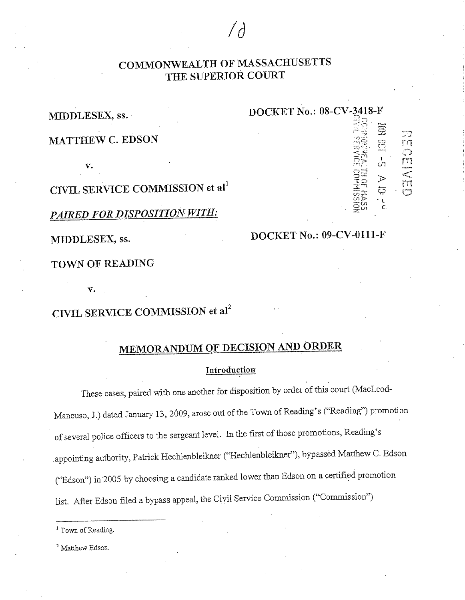## **COMMONWEALTH OF MASSACHUSETTS THE SUPERIOR COURT**

*Id* 

**MIDDLESEX, ss.** 

**DOCKET No.: 08-CV-J418-F**  ', --

> :·~: ( \*~ . *r-,*   $\Xi^-$

> > -;

 $\frac{1}{10}$  rn

 $r^{\prime\prime}$  reads

 $\mathbb{Z}$ 

**MATTHEW C. EDSON** 

**v.** 

**CML SERVICE COMMISSION et al<sup>1</sup>**

*PAIRED FOR DISPOSITION WITH:* 

**MIDDLESEX, ss.** 

## **DOCKET No.: 09-CV-0111-F**

**TOWN OF READING** 

**v.** 

# **CIVIL SERVICE COMMISSION et aI2**

# **MEMORANDUM OF DECISION AND ORDER**

## **Introduction**

These cases, paired with one another for disposition by order of this court (MacLeod-Mancuso, J.) dated January 13, 2009, arose out of the Town of Reading's ("Reading") promotion of several police officers to the sergeant level. In the first of those promotions, Reading's appointing authority, Patrick Hechlenbleikner ("Hechlenbleikner"), bypassed Matthew C. Edson ("Edson") in2005 by choosing a candidate rariked lower than Edson on a certified promotion list. After Edson filed a bypass appeal, the Civil Service Commission ("Commission")

<sup>2</sup> Matthew Edson.

<sup>&</sup>lt;sup>1</sup> Town of Reading.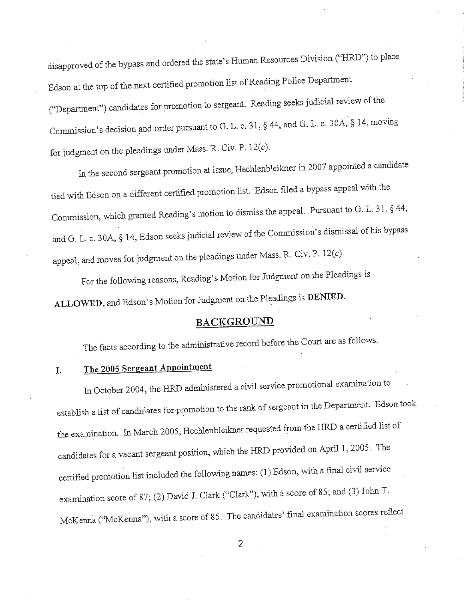disapproved of the bypass and ordered the state's Human Resources Division ("HRD") to place Edson at the top of the next certified promotion list of Reading Police Department ("Department") candidates for promotion to sergeant. Reading seeks judicial review of the Commission's decision and order pursuant to G. L. c. 31, § 44, and G. L. c. 30A, § 14, moving for judgment on the pleadings under Mass. R. Civ. P. 12(c).

In the second sergeant promotion at issue, Hechlenbleikner in 2007 appointed a candidate tied with Edson on a different certified promotion list. Edson filed a bypass appeal with the Commission, which granted Reading's motion to dismiss the appeal. Pursuant to G. L. 31, § 44, and G. L. c. 30A, § 14, Edson seeks judicial review of the Commission's dismissal of his bypass appeal, and moves for judgment on the pleadings under Mass. R. Civ. P.  $12(c)$ .

For the following reasons, Reading's Motion for Judgment on the Pleadings is **ALLOWED,** and Edson's Motion for Judgment on the Pleadings is **DENIED.** 

## **BACKGROUND**

The facts according to the administrative record before the Court are as follows.

# **I. The 2005 Sergeant Appointment**

In October 2004, the HRD administered a civil service promotional examination to establish a list of candidates for promotion to the rank of sergeant in the Department. Edson took the examination. In March 2005, Hechlenbleikner requested from the HRD a certified list of candidates for a vacant sergeant position, which the HRD provided on April 1, 2005. The certified promotion list included the following names: (1) Edson, with a final civil service examination score of 87; (2) David J. Clark ("Clark"), with a score of 85; and (3) John T. McKenna ("McKenna"), with a score of 85. The candidates' final examination scores reflect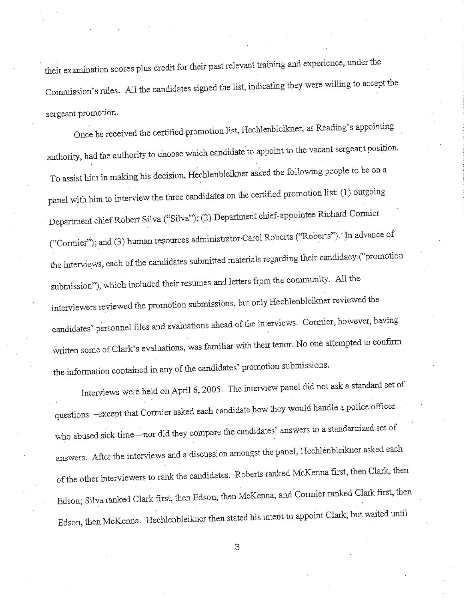their examination scores plus credit for their pas<sup>t</sup>relevant training and experience, under the Commission's rules. All the candidates signed the list, indicating they were willing to accept the sergeant promotion.

Once he received the certified promotion list, Hechlenbleikner, as Reading's appointing authority, had the authority to choose which candidate to appoint to the vacant sergeant position. To assist him in making his decision, Hechlenbleikner asked the following people to be on a panel with him to interview the three candidates on the certified promotion list: (1) outgoing Department chief Robert Silva ("Silva"); (2) Department chief-appointee Richard Connier ("Cormier"); and (3) human resources administrator Carol Roberts ("Roberts"). In advance of the interviews, each of the candidates submitted materials regarding their candidacy ("promotion submission"), which included their resumes and letters from the community. All the interviewers reviewed the promotion submissions, but only Hechlenbleikner reviewed the candidates' personnel files and evaluations ahead of the interviews. Cormier, however, having written some of Clark's evaluations, was familiar with their tenor. No one attempted to confirm the information contained in any of the candidates' promotion submissions.

Interviews were held on April 6, 2005. The interview panel did not ask a standard set of questions--except that Cormier asked each candidate how they would handle a police officer who abused sick time-nor did they compare the candidates' answers to a standardized set of answers. After the interviews and a discussion amongst the panel, Hechlenbleikner asked each of the other interviewers to rank the candidates. Roberts ranked McKenna first, then Clark, then Edson; Silva ranked Clark first, then Edson, then McKenna; and Cormier ranked Clark first, then · Edson, then McKenna. Hechlenbleikner then stated his intent to appoint Clark, but waited until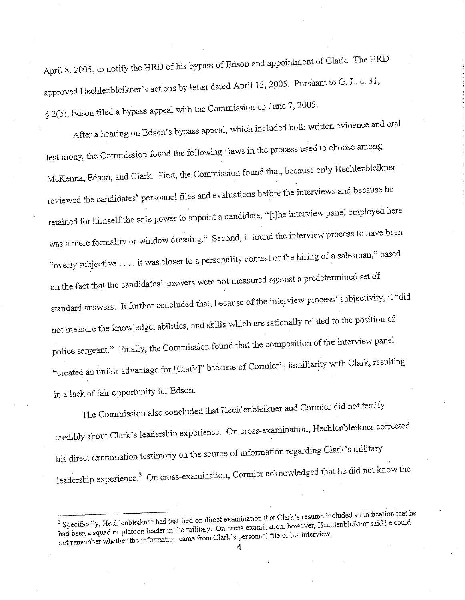April 8, 2005, to notify the HRD of his bypass of Edson and appointment of Clark. The HRD approved Hechlenbleikner's actions by letter dated April 15, 2005. Pursuant to G. L. c. 31, § 2(b), Edson filed a bypass appeal with the Commission on June 7, 2005.

After a hearing on Edson's bypass appeal, which included both written evidence and oral testimony, the Commission found the following flaws in the process used to choose among McKenna, Edson, and Clark. First, the Commission found that, because only Hechlenbleikner reviewed the candidates' personnel files and evaluations before the interviews and because he retained for himself the sole power to appoint a candidate, "[t)he interview panel employed here was a mere formality or window dressing." Second, it found the interview process to have been "overly subjective .... it was closer to a personality contest or the hiring of a salesman," based on the fact that the candidates' answers were not measured against a predetermined set of standard answers. It further concluded that, because of the interview process' subjectivity, it "did not measure the knowledge, abilities, and skills which are rationally related to the position of police sergeant." Finally, the Commission found that the composition of the interview pane<sup>l</sup> "created an unfair advantage for [Clark]" because of Cormier's familiarity with Clark, resulting in a lack of fair opportunity for Edson.

The Commission also concluded that Hechlenbleikner and Cormier did not testify credibly about Clark's leadership experience. On cross-examination, Hechlenbleikner correcte<sup>d</sup> his direct examination testimony on the source of information regarding Clark's military leadership experience.<sup>3</sup> On cross-examination, Cormier acknowledged that he did not know the

<sup>&</sup>lt;sup>3</sup> Specifically, Hechlenbleikner had testified on direct examination that Clark's resume included an indication that he had been a squad or platoon leader in the military. On cross-examination, however, Hechlenbleikner said he could not remember whether the information came from Clark's personnel file or his interview. 4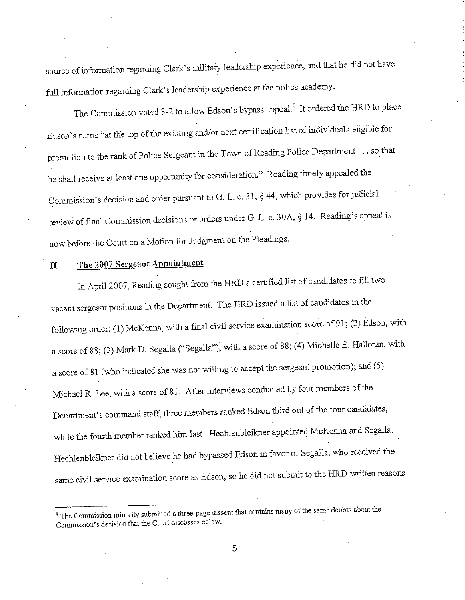source of information regarding Clark's militaryleadership experience, and that he did not have full information regarding Clark's leadership experience at the police academy.

The Commission voted 3-2 to allow Edson's bypass appeal.<sup>4</sup> It ordered the HRD to place Edson's name "at the top of the existing and/or next certification list of individuals eligible for promotion to the rank of Police Sergeant in the Town of Reading Police Department ... so that he shall receive at least one opportunity for consideration." Reading timely appealed the Commission's decision and order pursuant to G. L. c. 31, § 44, which provides for judicial review of final Commission decisions or orders under G. L. c. 30A, § 14. Reading's appeal is now before the Court on a Motion for Judgment on the Pleadings.

#### **The 2007 Sergeant Appointment**  П.

In April 2007, Reading sought from the HRD a certified list of candidates to fill two vacant sergeant positions in the Department. The HRD issued a list of candidates in the following order: (1) McKenna, with a final civil service examination score of 91; (2) Edson, with a score of 88; (3) Mark D. Segalla ("Segalla"), with a score of 88; (4) Michelle E. Halloran, with a score of <sup>81</sup>(who indicated she was not willing to accept the sergeant promotion); and (5) Michael R. Lee, with a score of 81. After interviews conducted by four members of the Department's command staff, three members ranked Edson third out of the four candidates, while the fourth member ranked him last. Hechlenbleikner appointed Mc Kenna and Segalla. Hechlenbleikner did not believe he had bypassed Edson in favor of Segalla, who received the same civil service examination score as Edson, so he did not submit to the HRD written reasons

<sup>&</sup>lt;sup>4</sup> The Commission minority submitted a three-page dissent that contains many of the same doubts about the **Commission's decision that the Court discusses below.** ·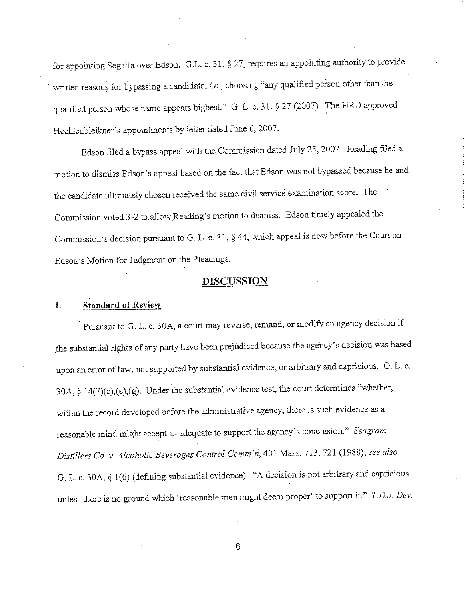for appointing Segalla over Edson. G.L. c. 31, § 27, requires an appointing authority to provide written reasons for bypassing a candidate, *i.e.,* choosing "any qualified person other than the qualified person whose name appears highest." G. L. c. 31, § 27 (2007). The HRD approved Hechlenbleikner's appointments by letter dated June 6, 2007.

Edson filed a bypass appeal with the Conunission dated July 25, 2007. Reading filed a motion to dismiss Edson's appeal based on the fact that Edson was not bypassed because he and the candidate ultimately chosen received the same civil service examination score. The Commission, voted 3-2 to.allow Reading's motion to dismiss. Edson timely appealed the Commission's decision pursuant to G. L. c. 31, § 44, which appeal is now before the Court on Edson's Motion for Judgment on the Pleadings.

# **DISCUSSION**

### **I. Standard of Review**

Pursuant to G. L. c. 30A, a court may reverse, remand, or modify an agency decision if the substantial rights of any party have been prejudiced because the agency's decision was based upon an error of law, not supported by substantial evidence, or arbitrary and capricious. G. L. c. 30A, § 14(7)(c),(e),(g). Under the substantial evidence test, the court determines "whether, within the record developed before the administrative agency, there is such evidence as a reasonable mind might accept as adequate to support the agency's conclusion." *Seagram Distillers Co. v. Alcoholi9 Beverages Control Comm 'n,* 401 Mass. 713, 721 (1988); *see also*  G. L. c. 30A, § 1(6) (defining substantial evidence). "A decision is not arbitrary and capricious unless there is no ground which 'reasonable men might deem proper' to support it." *T.D.J. Dev.*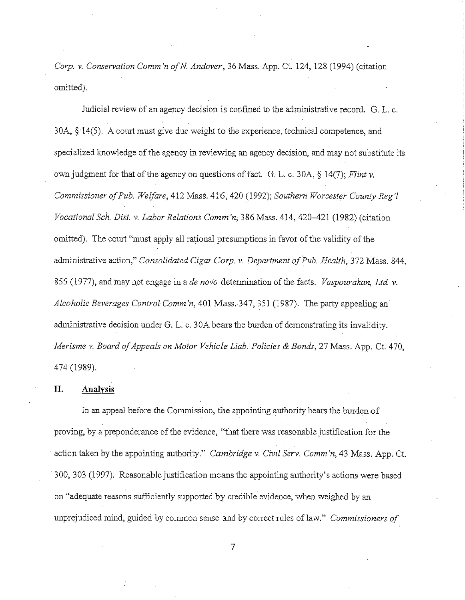*Corp. v. Conservation Comm 'n ofN Andover,* 36 Mass. App. Ct. 124, 128 (1994) (citation omitted).

Judicial review of an agency decision is confined to the administrative record. G. L. c.  $30A, \S 14(5)$ . A court must give due weight to the experience, technical competence, and specialized knowledge of the agency in reviewing an agency decision, and may not substitute its own judgment for that of the agency on questions of fact. G. L. c. 30A, § 14(7); *Flint v. Commissioner of Pub. Welfare,* 412 Mass. 416,420 (1992); *Southern Worcester County Reg'/ Vocational Sch. Dist. v. Labor Relations Comm 'n;* 386 Mass. 414, 420-421 (1982) (citation omitted). The court "must apply all rational presumptions in favor of the validity of the administrative action," *Consolidated Cigar Corp. v. Department of Pub. Health,* 372 Mass. 844, 855 (1977), and may not engage in a *de nova* determination of the facts. *Vaspourakan, Ltd. v. Alcoholic Beverages Control Comm 'n,* 401 Mass. 347, 351 (1987). The party appealing an administrative decision under G. L. c. 30A bears the burden of demonstrating its invalidity. *Merisme v. Board of Appeals on Motor Vehicle Liab. Policies & Bonds,* 27 Mass. App. Ct. 470, 474 (1989).

## **II. Analysis**

In an appeal before the Commission, the appointing authority bears the burden-of proving, by a preponderance of the evidence, "that there was reasonable justification for the action taken by the appointing authority." *Cambridge v. Civil Serv. Comm'n*, 43 Mass. App. Ct. 300, 303 (1997). Reasonable justification means the appointing authority's actions were based on "adequate reasons sufficiently supported by credible evidence, when weighed by an unprejudiced mind, guided by common sense and by correct rules of law." *Commissioners of*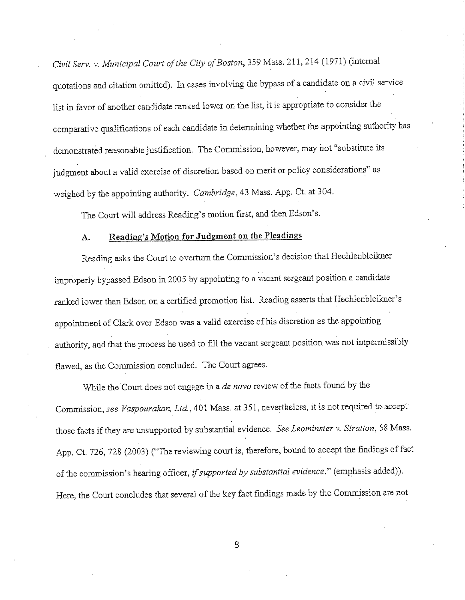*Civil Serv. v. Municipal Court of the City of Boston,* 359 Mass. 211, 214 (1971) (internal quotations and citation omitted). In cases involving the bypass of a candidate on a civil service list in favor of another candidate ranked lower on the list, it is appropriate to consider the comparative qualifications of each candidate in determining whether the appointing authority has demonstrated reasonable justification. The Commission, however, may not "substitute its judgment about a valid exercise of discretion based on merit or policy considerations" as weighed by the appointing authority. *Cambridge,* 43 Mass. App. Ct. at 304.

The Court will address Reading's motion first, and then Edson's.

## **A. Reading's Motion for Judgment on the Pleadings**

Reading asks the Court to overturn the Commission's decision that Hechlenbleikner improperly bypassed Edson in 2005 by appointing to a vacant sergeant position a candidate ranked lower than Edson on a certified promotion list. Reading asserts that Hechlenbleikner's appointment of Clark over Edson was a valid exercise of his discretion as the appointing authority, and that the process he used to fill the vacant sergeant position was not impermissibly flawed, as the Commission concluded. The Court agrees.

While the Court does not engage in a *de nova* review of the facts found by the Commission, see Vaspourakan, Ltd., 401 Mass. at 351, nevertheless, it is not required to accept those facts if they are unsupported by substantial evidence. *See Leominster v. Stratton,* 58 Mass. App. Ct. 726, 728 (2003) ("The reviewing court is, therefore, bound to accept the findings of fact of the commission's hearing officer, *if supported by substantial evidence."* (emphasis added)). Here, the Court concludes that several of the key fact findings made by the Commission are not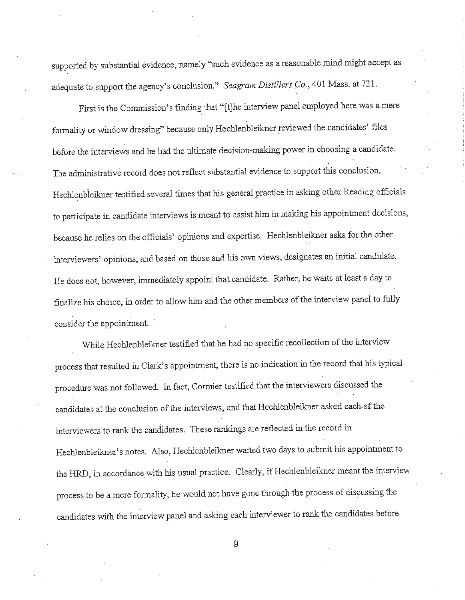supported by substantial evidence, namely "such evidence as a reasonable mind might accept as adequate to support the agency's conclusion." *Seagram Distillers Co.,* 401 Mass. at 721.

First is the Commission's finding that "[t]he interview panel employed here was a mere formality or window dressing" because only Hechlenbleikner reviewed the candidates' files before the interviews and he had the ultimate decision-making power in choosing a candidate. The administrative record does not reflect substantial evidence to support this conclusion. Hechlenbleikner testified several times that his general practice in asking other Reading officials to participate in candidate interviews is meant to assist him in making his appointment decisions, because he relies on the officials' opinions and expertise. Hechlenbleikner asks for the other interviewers' opinions, and based on those and his own views, designates an initial candidate. He does not, however, immediately appoint that candidate. Rather, he waits atleast a day to finalize his choice, in order to allow him and the other members of the interview panel to fully consider the appointment.

While Hechlenbleikner testified that he had no specific recollection of the interview process that resulted in Clark's appointment, there is no indication in the record that his typical procedure was not followed. In fact, Cormier testified that the interviewers discussed the candidates at the conclusion of the interviews, and that Hechlenbleikner asked each-of the interviewers to rank the candidates. These rankings are reflected in the record in Hechlenbleikner's notes. Also, Hechlenbleikner waited two days to submit his appointment to the HRD, in accordance with his usual practice. Clearly, if Hechlenbleikner meant the interview process to be a mere formality, he would not have gone through the process of discussing the candidates with the interview panel and asking each interviewer to rank the candidates before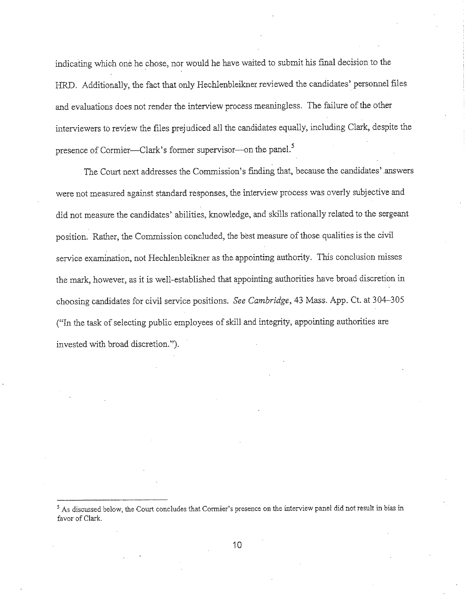indicating which one he chose, nor would he have waited to submit his final decision to the HRD. Additionally, the fact that only Hechlenbleikner reviewed the candidates' personnel files and evaluations does not render the interview process meaningless. The failure of the other interviewers to review the files prejudiced all the candidates equally, including Clark, despite the presence of Cormier-Clark's former supervisor-on the panel.<sup>5</sup>

The Court next addresses the Commission's finding that, because the candidates' .answers were not measured against standard responses, the interview process was overly subjective and did not measure the candidates' abilities, knowledge, and skills rationally related to the sergeant position. Rather, the Commission concluded, the best measure of those qualities is the civil service examination, not Hechlenbleikner as the appointing authority. This conclusion misses the mark, however, as it is well-established that appointing authorities have broad discretion in choosing candidates for civil service positions. *See Cambridge,* 43 Mass. App. Ct. at 304-305 ("In the task of selecting public employees of skill and integrity, appointing authorities are invested with broad discretion.").

<sup>&</sup>lt;sup>5</sup> As discussed below, the Court concludes that Cormier's presence on the interview panel did not result in bias in favor of Clark.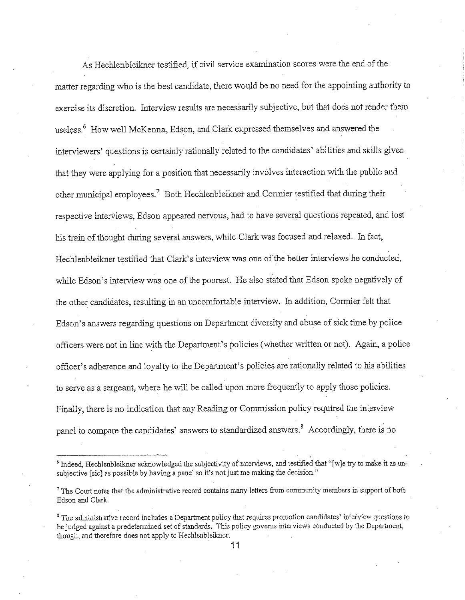As Hechlenbleikner testified, if civil service examination scores were the end of the matter regarding who is the best candidate, there would be no need for the appointing authority to exercise its discretion. Interview results are necessarily subjective, but that does not render them useless.<sup>6</sup> How well McKenna, Edson, and Clark expressed themselves and answered the interviewers' questions is certainly rationally related to the candidates' abilities and skills given that they were applying for a position that necessarily involves interaction with the public and other municipal employees.<sup>7</sup> Both Hechlenbleikner and Cormier testified that during their respective interviews, Edson appeared nervous, had to have several questions repeated, and lost his train of thought during several answers, while Clark was focused and relaxed. In fact, Hechlenbleikner testified that Clark's interview was one of the better interviews he conducted, while Edson's interview was one of the poorest. He also stated that Edson spoke negatively of the other candidates, resulting in an uncomfortable interview. In addition, Cormier felt that Edson's answers regarding questions on Department diversity and abuse of sick time by police officers were not in line with the Department's policies (whether written or not). Again, a police officer's adherence and loyalty to the Department's policies are rationally related to his abilities to serve as a sergeant, where he will be called upon more frequently to apply those policies. Finally, there is no indication that any Reading or Commission policy required the interview panel to compare the candidates' answers to standardized answers.<sup>8</sup> Accordingly, there is no

 $6$  Indeed, Hechlenbleikner acknowledged the subjectivity of interviews, and testified that "[w]e try to make it as unsubjective [sic] as possible by having a panel so it's not just me making the decision."

<sup>&</sup>lt;sup>7</sup> The Court notes that the administrative record contains many letters from community members in support of both Edson and Clark.

<sup>&#</sup>x27;The administrative record includes a Department policy that requires promotion candidates' interview questions to be judged against a predetermined set of standards. This policy governs interviews conducted by the Department, though, and therefore does not apply to Hechlenbleikner.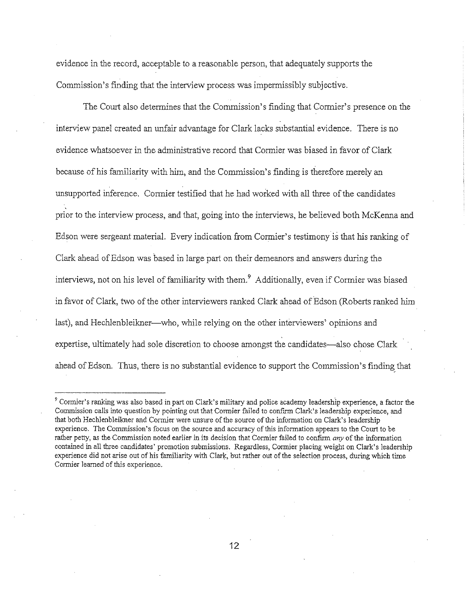evidence in the record, acceptable to a reasonable person, that adequately supports the Commission's finding that the interview process was impermissibly subjective.

The Court also determines that the Commission's finding that Cormier's presence on the interview panel created an unfair advantage for Clark lacks substantial evidence. There is no evidence whatsoever in the administrative record that Cormier was biased in favor of Clark because of his familiarity with him, and the Commission's finding is therefore merely an unsupported inference. Cormier testified that he had worked with all three of the candidates prior to the interview process, and that, going into the interviews, he believed both McKenna and Edson were sergeant material. Every indication from Cormier's testimony is that his ranking of Clark ahead of Edson was based in large part on their demeanors and answers during the interviews, not on his level of familiarity with them.<sup>9</sup> Additionally, even if Cormier was biased in favor of Clark, two of the other interviewers ranked Clark ahead of Edson (Roberts ranked him last), and Hechlenbleikner—who, while relying on the other interviewers' opinions and expertise, ultimately had sole discretion to choose amongst the candidates-also chose Clark ahead of Edson. Thus, there is no substantial evidence to support the Commission's finding\_ that

<sup>&</sup>lt;sup>9</sup> Cormier's ranking was also based in part on Clark's military and police academy leadership experience, a factor the Commission calls into question by pointing out that Connier failed to confinn Clark's leadership experience, and that both Hechlenbleikner and Cormier were unsure of the source of the information on Clark's leadership experience. The Commission's focus on the source and accuracy of this information appears to the Court to be rather petty, as the Commission noted earlier in its decision that Cormier failed to confirm *any* of the information contained in all three candidates' promotion submissions. Regardless, Cormier placing weight on Clark's leadership experience did not arise out of his familiarity with Clark, but rather out of the selection process, during which time Cormier learned of this experience.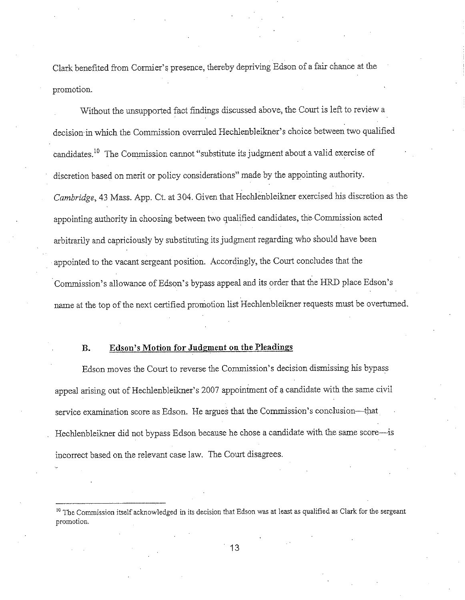Clark benefited from Corrnier' s presence, thereby depriving Edson of a fair chance at the promotion.

Without the unsupported fact findings discussed above, the Court is left to review a decision·in which the Commission ovenuled Hechlenbleikner's choice between two qualified candidates. 10 The Commission cannot "substitute its judgment about a valid exercise of discretion based on merit or policy considerations" made by the appointing authority. *Cambridge,* 43 Mass. App. Ct. at 304. Given that Hechlenbleikner exercised his discretion as the appointing authority in choosing between two qualified candidates, the Commission acted arbitrarily and capriciously by substituting its judgment regarding who should have been appointed to the vacant sergeant position. Accordingly, the Court concludes that the Commission's allowance of Edson's bypass appeal and its order that the HRD place Edson's name at the top of the next certified promotion list Hechlenbleikner requests must be overturned.

### **B. Edson's Motion for Judgment on the Pleadings**

Edson moves the Court to reverse the Commission's decision dismissing his bypass appeal arising out of Hechlenbleikner's 2007 appointment of a candidate with the same civil service examination score as Edson. He argues that the Commission's conclusion-that Hechlenbleikner did not bypass Edson because he chose a candidate with the same score-is incorrect based on the relevant case law. The Court disagrees.

<sup>&</sup>lt;sup>10</sup> The Commission itself acknowledged in its decision that Edson was at least as qualified as Clark for the sergeant **promotion.**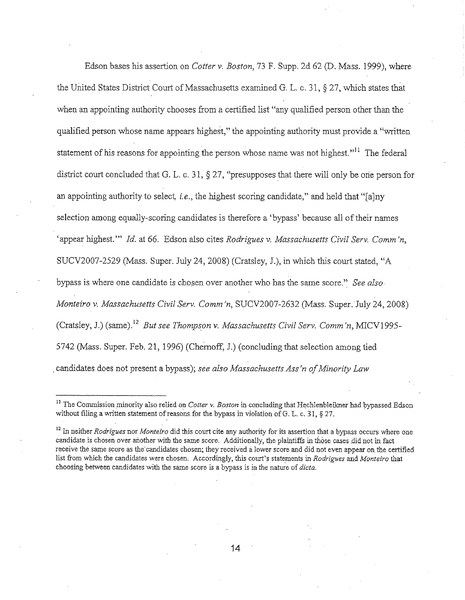Edson bases his assertion on *Cotter v, Boston,* 73 F. Supp. 2d 62 (D. Mass. 1999), where the United States District Court of Massachusetts examined G. L. c. 31, § 27, which states that when an appointing authority chooses from a certified list "any qualified person other than the qualified person whose name appears highest," the appointing authority must provide a "written statement of his reasons for appointing the person whose name was not highest."<sup>11</sup> The federal district court concluded that G, L. c. 31, § 27, "presupposes that there will only be orie person for an appointing authority to select, *i.e.*, the highest scoring candidate," and held that "[a]ny selection among equally-scoring candidates is therefore a 'bypass' because all of their names <sup>2</sup> appear highest."" *Id.* at 66. Edson also cites *Rodrigues v. Massachusetts Civil Serv. Comm'n,* SUCV2007-2529 (Mass. Super. July 24, 2008) (Cratsley, l), in which this court stated, "A bypass is where one candidate is chosen over another who has the same score." *See also Monteiro v, Massachusetts Civil Serv. Comm 'n,* SUCV2007-2632 (Mass. Super. July 24, 2008) (Cratsley, J.) (same).<sup>12</sup> But see Thompson v. Massachusetts Civil Serv. Comm 'n, MICV1995-5742 (Mass. Super. Feb. 21, 1996) (Chernoff, l) (concluding that selection among tied . candidates does not present a bypass); *see also Massachusetts Ass 'n of Minority Law* 

<sup>&</sup>lt;sup>11</sup> The Commission minority also relied on *Cotter v. Boston* in concluding that Hechlenbleikner had bypassed Edson without filing a written statement of reasons for the bypass in violation of G. L. c. 31,  $\S 27$ .

<sup>12</sup> In neither *Rodrigues* nor *Monteiro* did this court cite any authority for its assertion that a bypass occurs where one candidate is chosen over another with the same score. Additionally, the plaintiffs in those cases did not in fact receive the same score as the candidates chosen; they received a lower score and did not even appear on the certified list from which the candidates were chosen. Accordingly, this court's statements in *Rodrigues* and *Monteiro* that choosing between candidates with the same score is a bypass is in the nature of *dicta.*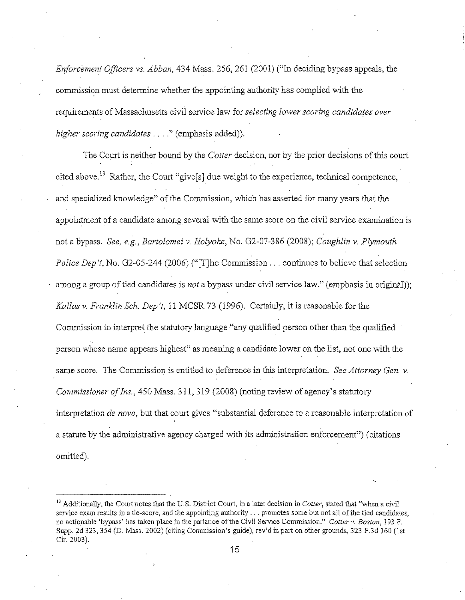*Enforcement Officers vs. Ab ban,* 434 Mass. 256, 261 (2001) ("In deciding bypass appeals, the commission must determine whether the appointing authority has complied with the requirements of Massachusetts civil service law for *selecting lower scoring candidates over*  higher scoring candidates . . . ." (emphasis added)).

The Court is neither bound by the *Cotter* decision, nor by the prior decisions of this court cited above.<sup>13</sup> Rather, the Court "give<sup>[5]</sup> due weight to the experience, technical competence, and specialized knowledge" of the Commission, which has asserted for many years that the appointment of a candidate among several with the same score on the civil service examination is not a bypass. *See, e.g., Bartolomei v. Holyoke,* No. 02-07-386 (2008); *Coughlin v. Plymouth Police Dep't*, No. G2-05-244 (2006) ("[T]he Commission . . . continues to believe that selection among a group of tied candidates is *not* a bypass under civil service law." (emphasis in original)); *Kallas v. Franklin Sch. Dep 't,* 11 MCSR 73 (1996). · Certainly, it is reasonable for the Commission to interpret the statutory language "any qualified person other than the qualified person whose name appears highest" as meaning a candidate lower on the list, not one with the same score. The Commission is entitled to deference in this interpretation. *See Attorney Gen.* v. *Commissioner of Ins.,* 450 Mass. 311, 319 (2008) (noting review of agency's statutory interpretation *de novo*, but that court gives "substantial deference to a reasonable interpretation of a statute by the administrative agency charged with its administration enforcement") ( citations omitted).

<sup>13</sup> Additionally, the Court notes that the U.S. District Court, in a later decision in *Cotter,* stated that "when a civil service exam results in a tie-score, and the appointing authority ... promotes *some* but not all of the tied candidates, no actiomble 'bypass' has taken place in the parlance of the Civil Service Commission." *Cotter v. Boston,* 193 F. Supp. 2d 323, 354 (D. Mass. 2002) (citing Commission's guide), rev'd in part on other grounds, 323 F.3d 160 (1st Cir. 2003).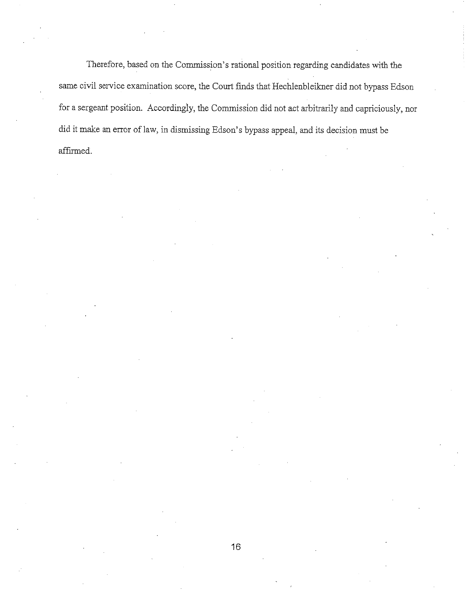Therefore, based on the Commission's rational position regarding candidates with the same civil service examination score, the Court finds that Hechlenbleikner did not bypass Edson for a sergeant position. Accordingly, the Commission did not act arbitrarily and capriciously, nor did it make an error of law, in dismissing Edson's bypass appeal, and its decision must be affirmed.